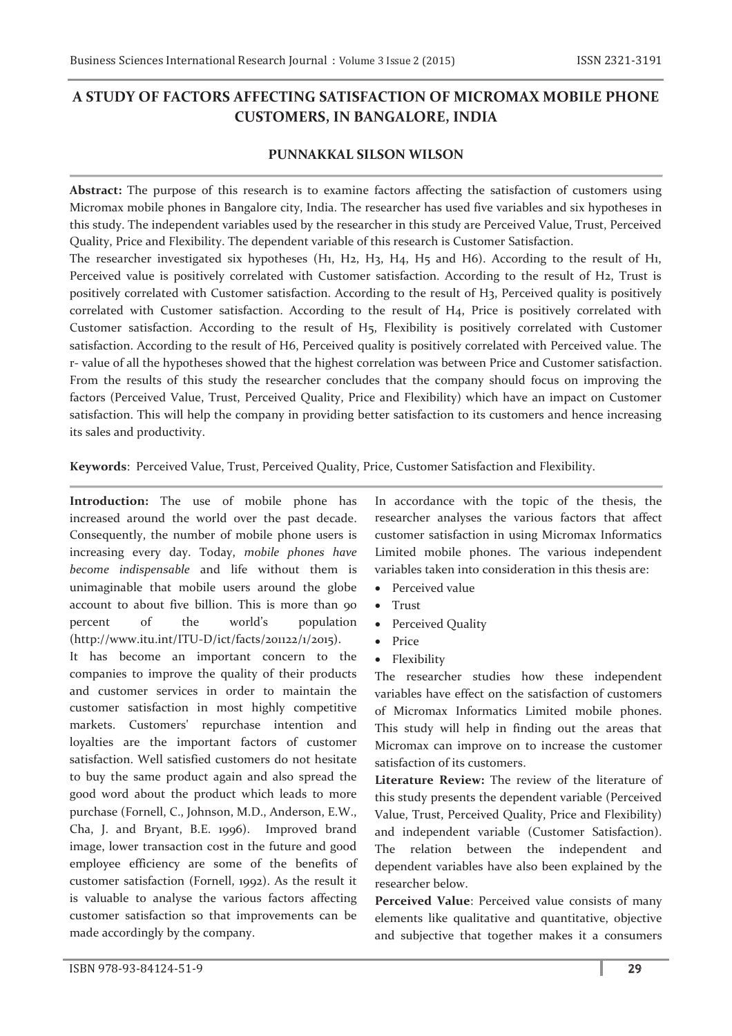## **A STUDY OF FACTORS AFFECTING SATISFACTION OF MICROMAX MOBILE PHONE CUSTOMERS, IN BANGALORE, INDIA**

## **PUNNAKKAL SILSON WILSON**

**Abstract:** The purpose of this research is to examine factors affecting the satisfaction of customers using Micromax mobile phones in Bangalore city, India. The researcher has used five variables and six hypotheses in this study. The independent variables used by the researcher in this study are Perceived Value, Trust, Perceived Quality, Price and Flexibility. The dependent variable of this research is Customer Satisfaction.

The researcher investigated six hypotheses (H1, H2, H3, H4, H5 and H6). According to the result of H1, Perceived value is positively correlated with Customer satisfaction. According to the result of H2, Trust is positively correlated with Customer satisfaction. According to the result of H3, Perceived quality is positively correlated with Customer satisfaction. According to the result of H4, Price is positively correlated with Customer satisfaction. According to the result of H5, Flexibility is positively correlated with Customer satisfaction. According to the result of H6, Perceived quality is positively correlated with Perceived value. The r- value of all the hypotheses showed that the highest correlation was between Price and Customer satisfaction. From the results of this study the researcher concludes that the company should focus on improving the factors (Perceived Value, Trust, Perceived Quality, Price and Flexibility) which have an impact on Customer satisfaction. This will help the company in providing better satisfaction to its customers and hence increasing its sales and productivity.

**Keywords**: Perceived Value, Trust, Perceived Quality, Price, Customer Satisfaction and Flexibility.

**Introduction:** The use of mobile phone has increased around the world over the past decade. Consequently, the number of mobile phone users is increasing every day. Today, *mobile phones have become indispensable* and life without them is unimaginable that mobile users around the globe account to about five billion. This is more than 90 percent of the world's population (http://www.itu.int/ITU-D/ict/facts/201122/1/2015).

It has become an important concern to the companies to improve the quality of their products and customer services in order to maintain the customer satisfaction in most highly competitive markets. Customers' repurchase intention and loyalties are the important factors of customer satisfaction. Well satisfied customers do not hesitate to buy the same product again and also spread the good word about the product which leads to more purchase (Fornell, C., Johnson, M.D., Anderson, E.W., Cha, J. and Bryant, B.E. 1996). Improved brand image, lower transaction cost in the future and good employee efficiency are some of the benefits of customer satisfaction (Fornell, 1992). As the result it is valuable to analyse the various factors affecting customer satisfaction so that improvements can be made accordingly by the company.

In accordance with the topic of the thesis, the researcher analyses the various factors that affect customer satisfaction in using Micromax Informatics Limited mobile phones. The various independent variables taken into consideration in this thesis are:

- Perceived value
- · Trust
- Perceived Quality
- · Price
- · Flexibility

The researcher studies how these independent variables have effect on the satisfaction of customers of Micromax Informatics Limited mobile phones. This study will help in finding out the areas that Micromax can improve on to increase the customer satisfaction of its customers.

**Literature Review:** The review of the literature of this study presents the dependent variable (Perceived Value, Trust, Perceived Quality, Price and Flexibility) and independent variable (Customer Satisfaction). The relation between the independent and dependent variables have also been explained by the researcher below.

Perceived Value: Perceived value consists of many elements like qualitative and quantitative, objective and subjective that together makes it a consumers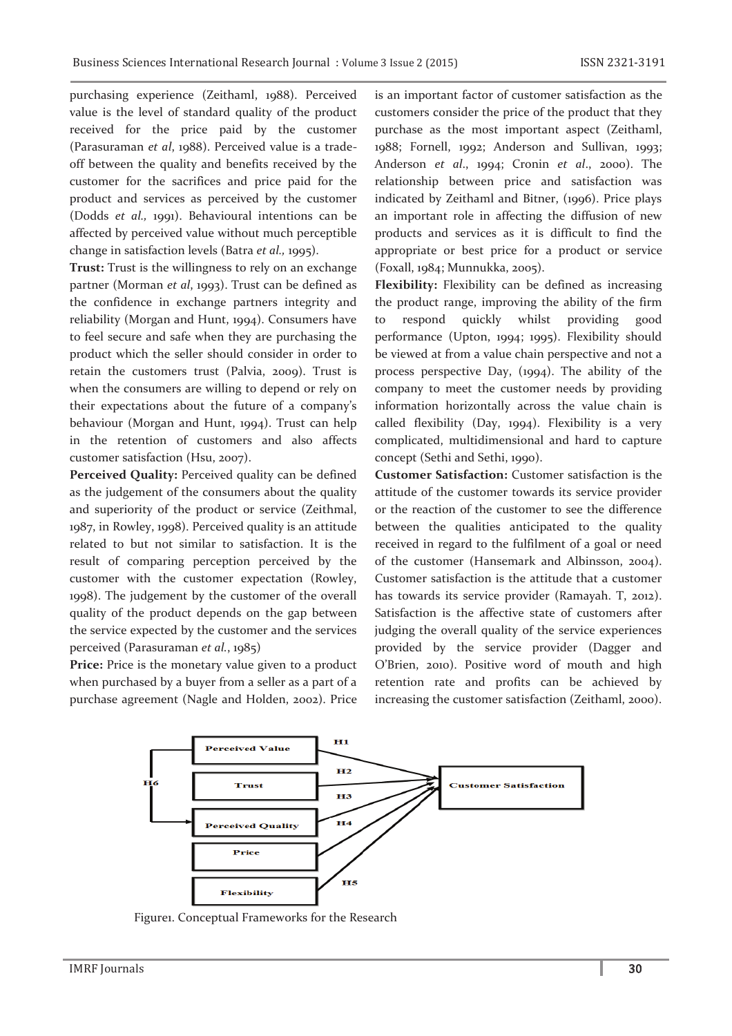purchasing experience (Zeithaml, 1988). Perceived value is the level of standard quality of the product received for the price paid by the customer (Parasuraman *et al*, 1988). Perceived value is a tradeoff between the quality and benefits received by the customer for the sacrifices and price paid for the product and services as perceived by the customer (Dodds *et al.,* 1991). Behavioural intentions can be affected by perceived value without much perceptible change in satisfaction levels (Batra *et al.,* 1995).

**Trust:** Trust is the willingness to rely on an exchange partner (Morman *et al*, 1993). Trust can be defined as the confidence in exchange partners integrity and reliability (Morgan and Hunt, 1994). Consumers have to feel secure and safe when they are purchasing the product which the seller should consider in order to retain the customers trust (Palvia, 2009). Trust is when the consumers are willing to depend or rely on their expectations about the future of a company's behaviour (Morgan and Hunt, 1994). Trust can help in the retention of customers and also affects customer satisfaction (Hsu, 2007).

Perceived Quality: Perceived quality can be defined as the judgement of the consumers about the quality and superiority of the product or service (Zeithmal, 1987, in Rowley, 1998). Perceived quality is an attitude related to but not similar to satisfaction. It is the result of comparing perception perceived by the customer with the customer expectation (Rowley, 1998). The judgement by the customer of the overall quality of the product depends on the gap between the service expected by the customer and the services perceived (Parasuraman *et al.*, 1985)

Price: Price is the monetary value given to a product when purchased by a buyer from a seller as a part of a purchase agreement (Nagle and Holden, 2002). Price is an important factor of customer satisfaction as the customers consider the price of the product that they purchase as the most important aspect (Zeithaml, 1988; Fornell, 1992; Anderson and Sullivan, 1993; Anderson *et al*., 1994; Cronin *et al*., 2000). The relationship between price and satisfaction was indicated by Zeithaml and Bitner, (1996). Price plays an important role in affecting the diffusion of new products and services as it is difficult to find the appropriate or best price for a product or service (Foxall, 1984; Munnukka, 2005).

**Flexibility:** Flexibility can be defined as increasing the product range, improving the ability of the firm to respond quickly whilst providing good performance (Upton, 1994; 1995). Flexibility should be viewed at from a value chain perspective and not a process perspective Day, (1994). The ability of the company to meet the customer needs by providing information horizontally across the value chain is called flexibility (Day, 1994). Flexibility is a very complicated, multidimensional and hard to capture concept (Sethi and Sethi, 1990).

**Customer Satisfaction:** Customer satisfaction is the attitude of the customer towards its service provider or the reaction of the customer to see the difference between the qualities anticipated to the quality received in regard to the fulfilment of a goal or need of the customer (Hansemark and Albinsson, 2004). Customer satisfaction is the attitude that a customer has towards its service provider (Ramayah. T, 2012). Satisfaction is the affective state of customers after judging the overall quality of the service experiences provided by the service provider (Dagger and O'Brien, 2010). Positive word of mouth and high retention rate and profits can be achieved by increasing the customer satisfaction (Zeithaml, 2000).



Figure1. Conceptual Frameworks for the Research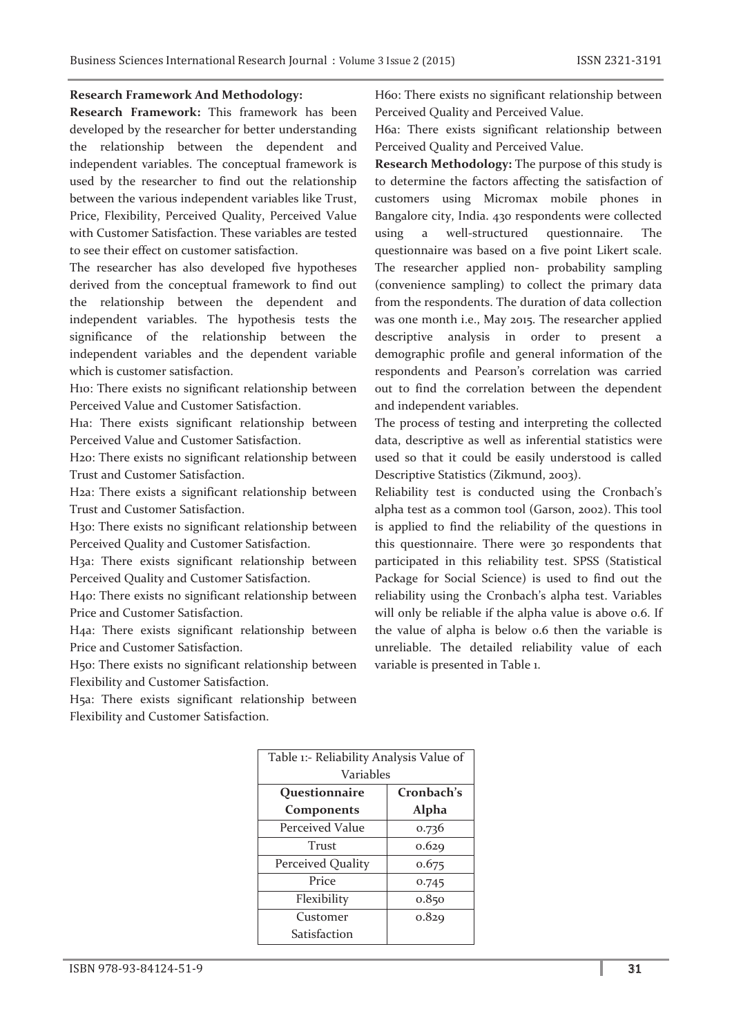## **Research Framework And Methodology:**

**Research Framework:** This framework has been developed by the researcher for better understanding the relationship between the dependent and independent variables. The conceptual framework is used by the researcher to find out the relationship between the various independent variables like Trust, Price, Flexibility, Perceived Quality, Perceived Value with Customer Satisfaction. These variables are tested to see their effect on customer satisfaction.

The researcher has also developed five hypotheses derived from the conceptual framework to find out the relationship between the dependent and independent variables. The hypothesis tests the significance of the relationship between the independent variables and the dependent variable which is customer satisfaction.

H10: There exists no significant relationship between Perceived Value and Customer Satisfaction.

H1a: There exists significant relationship between Perceived Value and Customer Satisfaction.

H2o: There exists no significant relationship between Trust and Customer Satisfaction.

H2a: There exists a significant relationship between Trust and Customer Satisfaction.

H3o: There exists no significant relationship between Perceived Quality and Customer Satisfaction.

H3a: There exists significant relationship between Perceived Quality and Customer Satisfaction.

H4o: There exists no significant relationship between Price and Customer Satisfaction.

H4a: There exists significant relationship between Price and Customer Satisfaction.

H5o: There exists no significant relationship between Flexibility and Customer Satisfaction.

H5a: There exists significant relationship between Flexibility and Customer Satisfaction.

H6o: There exists no significant relationship between Perceived Quality and Perceived Value.

H6a: There exists significant relationship between Perceived Quality and Perceived Value.

**Research Methodology:** The purpose of this study is to determine the factors affecting the satisfaction of customers using Micromax mobile phones in Bangalore city, India. 430 respondents were collected using a well-structured questionnaire. The questionnaire was based on a five point Likert scale. The researcher applied non- probability sampling (convenience sampling) to collect the primary data from the respondents. The duration of data collection was one month i.e., May 2015. The researcher applied descriptive analysis in order to present a demographic profile and general information of the respondents and Pearson's correlation was carried out to find the correlation between the dependent and independent variables.

The process of testing and interpreting the collected data, descriptive as well as inferential statistics were used so that it could be easily understood is called Descriptive Statistics (Zikmund, 2003).

Reliability test is conducted using the Cronbach's alpha test as a common tool (Garson, 2002). This tool is applied to find the reliability of the questions in this questionnaire. There were 30 respondents that participated in this reliability test. SPSS (Statistical Package for Social Science) is used to find out the reliability using the Cronbach's alpha test. Variables will only be reliable if the alpha value is above 0.6. If the value of alpha is below 0.6 then the variable is unreliable. The detailed reliability value of each variable is presented in Table 1.

| Table 1:- Reliability Analysis Value of |            |  |  |  |
|-----------------------------------------|------------|--|--|--|
| Variables                               |            |  |  |  |
| Questionnaire                           | Cronbach's |  |  |  |
| Components                              | Alpha      |  |  |  |
| Perceived Value                         | 0.736      |  |  |  |
| Trust                                   | 0.629      |  |  |  |
| Perceived Quality                       | 0.675      |  |  |  |
| Price                                   | 0.745      |  |  |  |
| Flexibility                             | 0.850      |  |  |  |
| Customer                                | 0.829      |  |  |  |
| Satisfaction                            |            |  |  |  |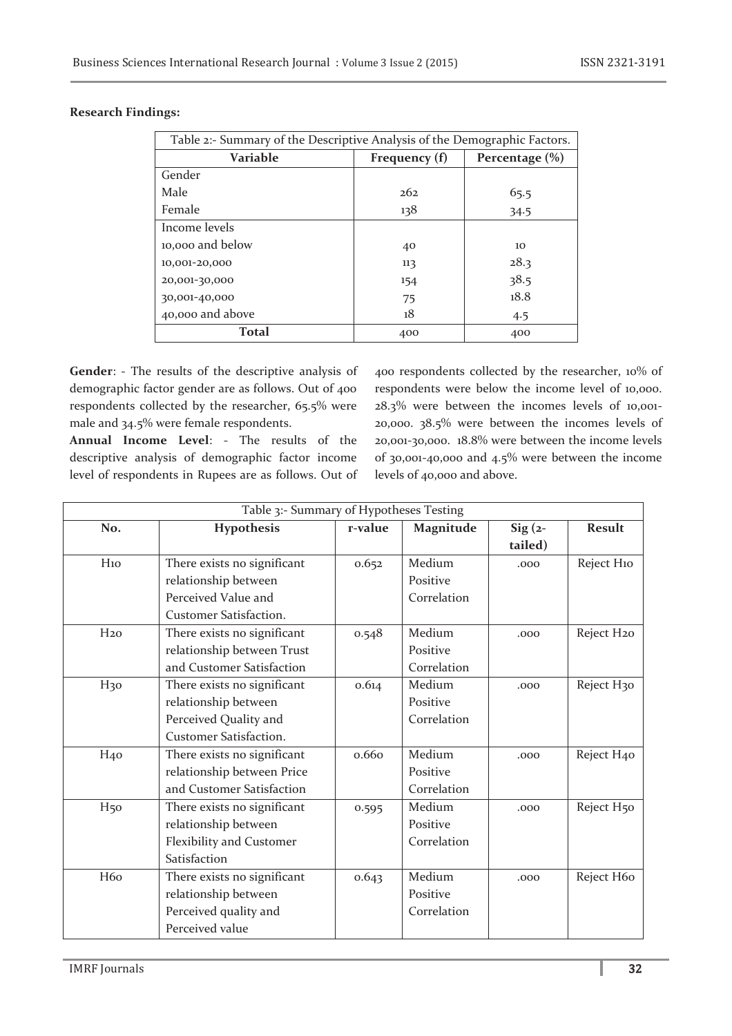| Table 2:- Summary of the Descriptive Analysis of the Demographic Factors. |                                     |      |  |  |  |
|---------------------------------------------------------------------------|-------------------------------------|------|--|--|--|
| Variable                                                                  | Frequency (f)<br>Percentage $(\% )$ |      |  |  |  |
| Gender                                                                    |                                     |      |  |  |  |
| Male                                                                      | 262                                 | 65.5 |  |  |  |
| Female                                                                    | 138                                 | 34.5 |  |  |  |
| Income levels                                                             |                                     |      |  |  |  |
| 10,000 and below                                                          | 40                                  | 10   |  |  |  |
| 10,001-20,000                                                             | 113                                 | 28.3 |  |  |  |
| 20,001-30,000                                                             | 154                                 | 38.5 |  |  |  |
| 30,001-40,000                                                             | 75                                  | 18.8 |  |  |  |
| 40,000 and above                                                          | 18                                  | 4.5  |  |  |  |
| <b>Total</b>                                                              | 400                                 | 400  |  |  |  |

**Gender**: - The results of the descriptive analysis of demographic factor gender are as follows. Out of 400 respondents collected by the researcher, 65.5% were male and 34.5% were female respondents.

**Annual Income Level**: - The results of the descriptive analysis of demographic factor income level of respondents in Rupees are as follows. Out of 400 respondents collected by the researcher, 10% of respondents were below the income level of 10,000. 28.3% were between the incomes levels of 10,001- 20,000. 38.5% were between the incomes levels of 20,001-30,000. 18.8% were between the income levels of 30,001-40,000 and 4.5% were between the income levels of 40,000 and above.

| Table 3:- Summary of Hypotheses Testing |                               |         |             |           |                        |  |  |
|-----------------------------------------|-------------------------------|---------|-------------|-----------|------------------------|--|--|
| No.                                     | Hypothesis                    | r-value | Magnitude   | $Sig(2 -$ | <b>Result</b>          |  |  |
|                                         |                               |         |             | tailed)   |                        |  |  |
| H <sub>10</sub>                         | There exists no significant   | 0.652   | Medium      | .000      | Reject H10             |  |  |
|                                         | relationship between          |         | Positive    |           |                        |  |  |
|                                         | Perceived Value and           |         | Correlation |           |                        |  |  |
|                                         | Customer Satisfaction.        |         |             |           |                        |  |  |
| H <sub>20</sub>                         | There exists no significant   | 0.548   | Medium      | .000      | Reject H <sub>20</sub> |  |  |
|                                         | relationship between Trust    |         | Positive    |           |                        |  |  |
|                                         | and Customer Satisfaction     |         | Correlation |           |                        |  |  |
| H <sub>30</sub>                         | There exists no significant   | 0.614   | Medium      | .000      | Reject H <sub>30</sub> |  |  |
|                                         | relationship between          |         | Positive    |           |                        |  |  |
|                                         | Perceived Quality and         |         | Correlation |           |                        |  |  |
|                                         | <b>Customer Satisfaction.</b> |         |             |           |                        |  |  |
| H <sub>40</sub>                         | There exists no significant   | 0.660   | Medium      | .000      | Reject H <sub>40</sub> |  |  |
|                                         | relationship between Price    |         | Positive    |           |                        |  |  |
|                                         | and Customer Satisfaction     |         | Correlation |           |                        |  |  |
| H <sub>50</sub>                         | There exists no significant   | 0.595   | Medium      | .000      | Reject H <sub>50</sub> |  |  |
|                                         | relationship between          |         | Positive    |           |                        |  |  |
|                                         | Flexibility and Customer      |         | Correlation |           |                        |  |  |
|                                         | Satisfaction                  |         |             |           |                        |  |  |
| H <sub>60</sub>                         | There exists no significant   | 0.643   | Medium      | .000      | Reject H60             |  |  |
|                                         | relationship between          |         | Positive    |           |                        |  |  |
|                                         | Perceived quality and         |         | Correlation |           |                        |  |  |
|                                         | Perceived value               |         |             |           |                        |  |  |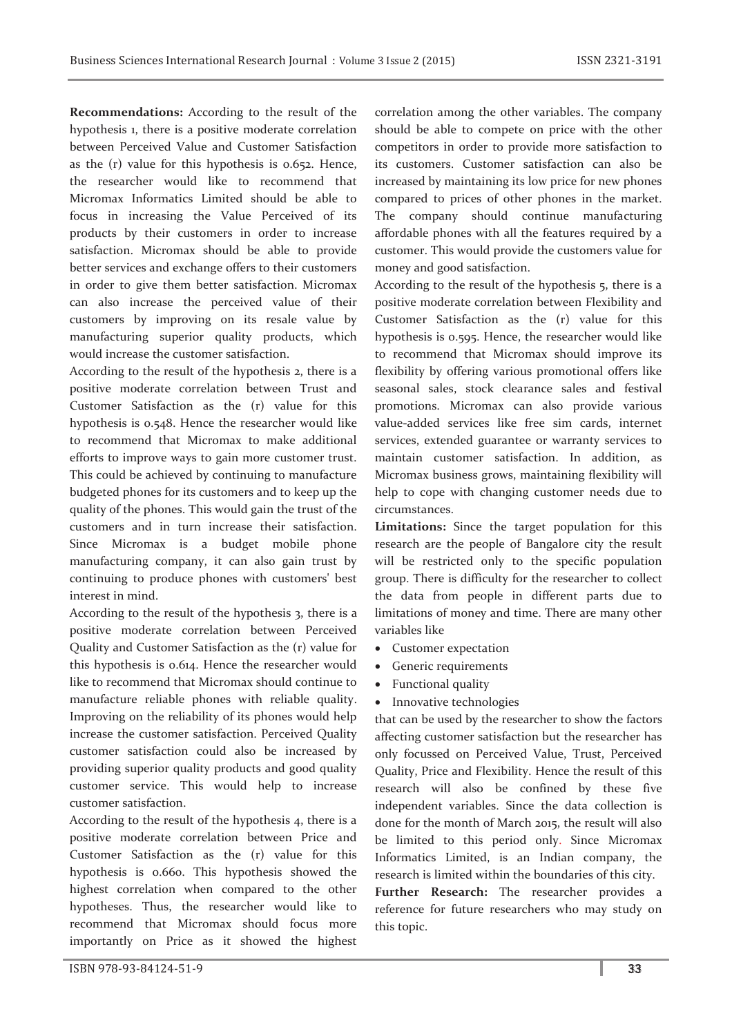**Recommendations:** According to the result of the hypothesis 1, there is a positive moderate correlation between Perceived Value and Customer Satisfaction as the (r) value for this hypothesis is 0.652. Hence, the researcher would like to recommend that Micromax Informatics Limited should be able to focus in increasing the Value Perceived of its products by their customers in order to increase satisfaction. Micromax should be able to provide better services and exchange offers to their customers in order to give them better satisfaction. Micromax can also increase the perceived value of their customers by improving on its resale value by manufacturing superior quality products, which would increase the customer satisfaction.

According to the result of the hypothesis 2, there is a positive moderate correlation between Trust and Customer Satisfaction as the (r) value for this hypothesis is 0.548. Hence the researcher would like to recommend that Micromax to make additional efforts to improve ways to gain more customer trust. This could be achieved by continuing to manufacture budgeted phones for its customers and to keep up the quality of the phones. This would gain the trust of the customers and in turn increase their satisfaction. Since Micromax is a budget mobile phone manufacturing company, it can also gain trust by continuing to produce phones with customers' best interest in mind.

According to the result of the hypothesis 3, there is a positive moderate correlation between Perceived Quality and Customer Satisfaction as the (r) value for this hypothesis is 0.614. Hence the researcher would like to recommend that Micromax should continue to manufacture reliable phones with reliable quality. Improving on the reliability of its phones would help increase the customer satisfaction. Perceived Quality customer satisfaction could also be increased by providing superior quality products and good quality customer service. This would help to increase customer satisfaction.

According to the result of the hypothesis 4, there is a positive moderate correlation between Price and Customer Satisfaction as the (r) value for this hypothesis is 0.660. This hypothesis showed the highest correlation when compared to the other hypotheses. Thus, the researcher would like to recommend that Micromax should focus more importantly on Price as it showed the highest

correlation among the other variables. The company should be able to compete on price with the other competitors in order to provide more satisfaction to its customers. Customer satisfaction can also be increased by maintaining its low price for new phones compared to prices of other phones in the market. The company should continue manufacturing affordable phones with all the features required by a customer. This would provide the customers value for money and good satisfaction.

According to the result of the hypothesis 5, there is a positive moderate correlation between Flexibility and Customer Satisfaction as the (r) value for this hypothesis is 0.595. Hence, the researcher would like to recommend that Micromax should improve its flexibility by offering various promotional offers like seasonal sales, stock clearance sales and festival promotions. Micromax can also provide various value-added services like free sim cards, internet services, extended guarantee or warranty services to maintain customer satisfaction. In addition, as Micromax business grows, maintaining flexibility will help to cope with changing customer needs due to circumstances.

**Limitations:** Since the target population for this research are the people of Bangalore city the result will be restricted only to the specific population group. There is difficulty for the researcher to collect the data from people in different parts due to limitations of money and time. There are many other variables like

- · Customer expectation
- · Generic requirements
- · Functional quality
- Innovative technologies

that can be used by the researcher to show the factors affecting customer satisfaction but the researcher has only focussed on Perceived Value, Trust, Perceived Quality, Price and Flexibility. Hence the result of this research will also be confined by these five independent variables. Since the data collection is done for the month of March 2015, the result will also be limited to this period only. Since Micromax Informatics Limited, is an Indian company, the research is limited within the boundaries of this city.

**Further Research:** The researcher provides a reference for future researchers who may study on this topic.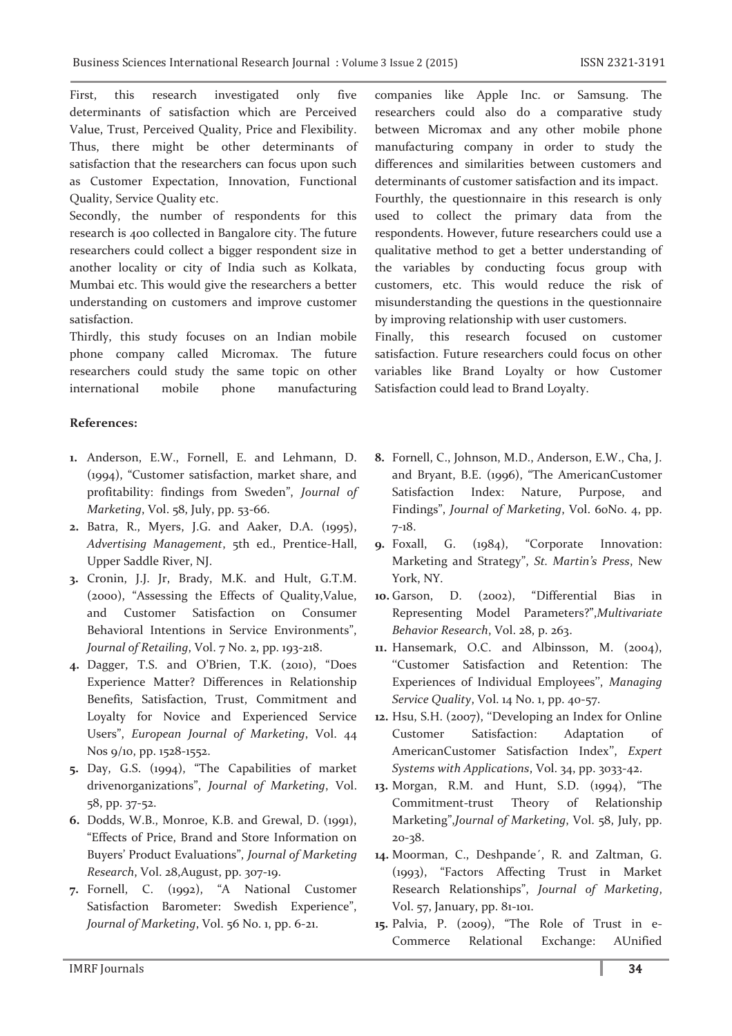First, this research investigated only five determinants of satisfaction which are Perceived Value, Trust, Perceived Quality, Price and Flexibility. Thus, there might be other determinants of satisfaction that the researchers can focus upon such as Customer Expectation, Innovation, Functional Quality, Service Quality etc.

Secondly, the number of respondents for this research is 400 collected in Bangalore city. The future researchers could collect a bigger respondent size in another locality or city of India such as Kolkata, Mumbai etc. This would give the researchers a better understanding on customers and improve customer satisfaction.

Thirdly, this study focuses on an Indian mobile phone company called Micromax. The future researchers could study the same topic on other international mobile phone manufacturing

## **References:**

- **1.** Anderson, E.W., Fornell, E. and Lehmann, D. (1994), "Customer satisfaction, market share, and profitability: findings from Sweden", *Journal of Marketing*, Vol. 58, July, pp. 53-66.
- **2.** Batra, R., Myers, J.G. and Aaker, D.A. (1995), *Advertising Management*, 5th ed., Prentice-Hall, Upper Saddle River, NJ.
- **3.** Cronin, J.J. Jr, Brady, M.K. and Hult, G.T.M. (2000), "Assessing the Effects of Quality,Value, and Customer Satisfaction on Consumer Behavioral Intentions in Service Environments", *Journal of Retailing*, Vol. 7 No. 2, pp. 193-218.
- **4.** Dagger, T.S. and O'Brien, T.K. (2010), "Does Experience Matter? Differences in Relationship Benefits, Satisfaction, Trust, Commitment and Loyalty for Novice and Experienced Service Users", *European Journal of Marketing*, Vol. 44 Nos 9/10, pp. 1528-1552.
- **5.** Day, G.S. (1994), "The Capabilities of market drivenorganizations", *Journal of Marketing*, Vol. 58, pp. 37-52.
- **6.** Dodds, W.B., Monroe, K.B. and Grewal, D. (1991), "Effects of Price, Brand and Store Information on Buyers' Product Evaluations", *Journal of Marketing Research*, Vol. 28,August, pp. 307-19.
- **7.** Fornell, C. (1992), "A National Customer Satisfaction Barometer: Swedish Experience", *Journal of Marketing*, Vol. 56 No. 1, pp. 6-21.

companies like Apple Inc. or Samsung. The researchers could also do a comparative study between Micromax and any other mobile phone manufacturing company in order to study the differences and similarities between customers and determinants of customer satisfaction and its impact.

Fourthly, the questionnaire in this research is only used to collect the primary data from the respondents. However, future researchers could use a qualitative method to get a better understanding of the variables by conducting focus group with customers, etc. This would reduce the risk of misunderstanding the questions in the questionnaire by improving relationship with user customers.

Finally, this research focused on customer satisfaction. Future researchers could focus on other variables like Brand Loyalty or how Customer Satisfaction could lead to Brand Loyalty.

- **8.** Fornell, C., Johnson, M.D., Anderson, E.W., Cha, J. and Bryant, B.E. (1996), "The AmericanCustomer Satisfaction Index: Nature, Purpose, and Findings", *Journal of Marketing*, Vol. 60No. 4, pp. 7-18.
- **9.** Foxall, G. (1984), "Corporate Innovation: Marketing and Strategy", *St. Martin's Press*, New York, NY.
- **10.** Garson, D. (2002), "Differential Bias in Representing Model Parameters?",*Multivariate Behavior Research*, Vol. 28, p. 263.
- **11.** Hansemark, O.C. and Albinsson, M. (2004), ''Customer Satisfaction and Retention: The Experiences of Individual Employees'', *Managing Service Quality*, Vol. 14 No. 1, pp. 40-57.
- **12.** Hsu, S.H. (2007), ''Developing an Index for Online Customer Satisfaction: Adaptation of AmericanCustomer Satisfaction Index'', *Expert Systems with Applications*, Vol. 34, pp. 3033-42.
- **13.** Morgan, R.M. and Hunt, S.D. (1994), "The Commitment-trust Theory of Relationship Marketing",*Journal of Marketing*, Vol. 58, July, pp. 20-38.
- **14.** Moorman, C., Deshpande´, R. and Zaltman, G. (1993), "Factors Affecting Trust in Market Research Relationships", *Journal of Marketing*, Vol. 57, January, pp. 81-101.
- **15.** Palvia, P. (2009), "The Role of Trust in e-Commerce Relational Exchange: AUnified